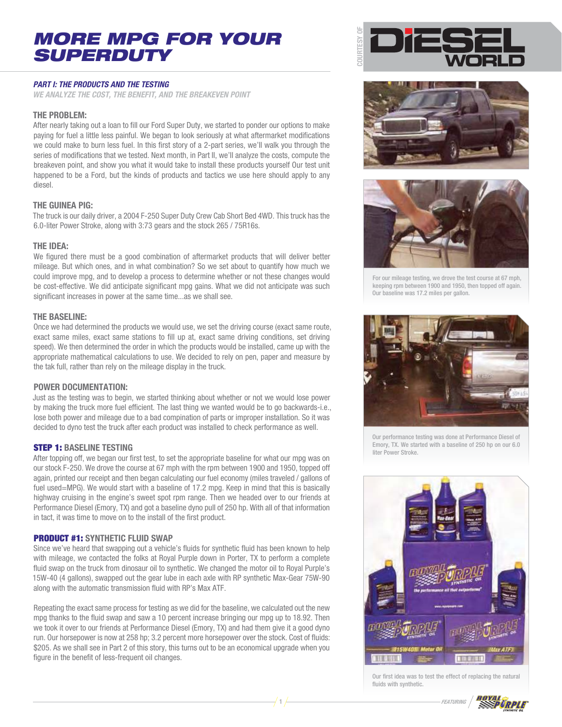# MORE MPG FOR YOUR SUPERDUTY

# **PART I: THE PRODUCTS AND THE TESTING**

**WE ANALYZE THE COST, THE BENEFIT, AND THE BREAKEVEN POINT**

## **THE PROBLEM:**

After nearly taking out a loan to fill our Ford Super Duty, we started to ponder our options to make paying for fuel a little less painful. We began to look seriously at what aftermarket modifications we could make to burn less fuel. In this first story of a 2-part series, we'll walk you through the series of modifications that we tested. Next month, in Part II, we'll analyze the costs, compute the breakeven point, and show you what it would take to install these products yourself Our test unit happened to be a Ford, but the kinds of products and tactics we use here should apply to any diesel.

# **THE GUINEA PIG:**

The truck is our daily driver, a 2004 F-250 Super Duty Crew Cab Short Bed 4WD. This truck has the 6.0-liter Power Stroke, along with 3:73 gears and the stock 265 / 75R16s.

### **THE IDEA:**

We figured there must be a good combination of aftermarket products that will deliver better mileage. But which ones, and in what combination? So we set about to quantify how much we could improve mpg, and to develop a process to determine whether or not these changes would be cost-effective. We did anticipate significant mpg gains. What we did not anticipate was such significant increases in power at the same time...as we shall see.

#### **THE BASELINE:**

Once we had determined the products we would use, we set the driving course (exact same route, exact same miles, exact same stations to fill up at, exact same driving conditions, set driving speed). We then determined the order in which the products would be installed, came up with the appropriate mathematical calculations to use. We decided to rely on pen, paper and measure by the tak full, rather than rely on the mileage display in the truck.

### **POWER DOCUMENTATION:**

Just as the testing was to begin, we started thinking about whether or not we would lose power by making the truck more fuel efficient. The last thing we wanted would be to go backwards-i.e., lose both power and mileage due to a bad compination of parts or improper installation. So it was decided to dyno test the truck after each product was installed to check performance as well.

### STEP 1: **BASELINE TESTING**

After topping off, we began our first test, to set the appropriate baseline for what our mpg was on our stock F-250. We drove the course at 67 mph with the rpm between 1900 and 1950, topped off again, printed our receipt and then began calculating our fuel economy (miles traveled / gallons of fuel used=MPG). We would start with a baseline of 17.2 mpg. Keep in mind that this is basically highway cruising in the engine's sweet spot rpm range. Then we headed over to our friends at Performance Diesel (Emory, TX) and got a baseline dyno pull of 250 hp. With all of that information in tact, it was time to move on to the install of the first product.

### PRODUCT #1: **SYNTHETIC FLUID SWAP**

Since we've heard that swapping out a vehicle's fluids for synthetic fluid has been known to help with mileage, we contacted the folks at Royal Purple down in Porter, TX to perform a complete fluid swap on the truck from dinosaur oil to synthetic. We changed the motor oil to Royal Purple's 15W-40 (4 gallons), swapped out the gear lube in each axle with RP synthetic Max-Gear 75W-90 along with the automatic transmission fluid with RP's Max ATF.

Repeating the exact same process for testing as we did for the baseline, we calculated out the new mpg thanks to the fluid swap and saw a 10 percent increase bringing our mpg up to 18.92. Then we took it over to our friends at Performance Diesel (Emory, TX) and had them give it a good dyno run. Our horsepower is now at 258 hp; 3.2 percent more horsepower over the stock. Cost of fluids: \$205. As we shall see in Part 2 of this story, this turns out to be an economical upgrade when you figure in the benefit of less-frequent oil changes.







For our mileage testing, we drove the test course at 67 mph, keeping rpm between 1900 and 1950, then topped off again. Our baseline was 17.2 miles per gallon.



Our performance testing was done at Performance Diesel of Emory, TX. We started with a baseline of 250 hp on our 6.0 liter Power Stroke.



Our first idea was to test the effect of replacing the natural fluids with synthetic.

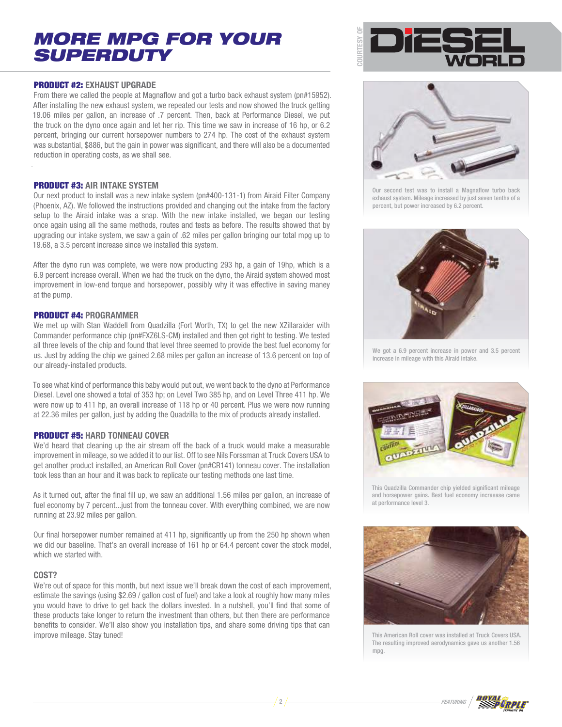# MORE MPG FOR YOUR SUPERDUTY

### PRODUCT #2: **EXHAUST UPGRADE**

From there we called the people at Magnaflow and got a turbo back exhaust system (pn#15952). After installing the new exhaust system, we repeated our tests and now showed the truck getting 19.06 miles per gallon, an increase of .7 percent. Then, back at Performance Diesel, we put the truck on the dyno once again and let her rip. This time we saw in increase of 16 hp, or 6.2 percent, bringing our current horsepower numbers to 274 hp. The cost of the exhaust system was substantial, \$886, but the gain in power was significant, and there will also be a documented reduction in operating costs, as we shall see.

## PRODUCT #3: **AIR INTAKE SYSTEM**

Our next product to install was a new intake system (pn#400-131-1) from Airaid Filter Company (Phoenix, AZ). We followed the instructions provided and changing out the intake from the factory setup to the Airaid intake was a snap. With the new intake installed, we began our testing once again using all the same methods, routes and tests as before. The results showed that by upgrading our intake system, we saw a gain of .62 miles per gallon bringing our total mpg up to 19.68, a 3.5 percent increase since we installed this system.

After the dyno run was complete, we were now producting 293 hp, a gain of 19hp, which is a 6.9 percent increase overall. When we had the truck on the dyno, the Airaid system showed most improvement in low-end torque and horsepower, possibly why it was effective in saving maney at the pump.

## PRODUCT #4: **PROGRAMMER**

We met up with Stan Waddell from Quadzilla (Fort Worth, TX) to get the new XZillaraider with Commander performance chip (pn#FXZ6LS-CM) installed and then got right to testing. We tested all three levels of the chip and found that level three seemed to provide the best fuel economy for us. Just by adding the chip we gained 2.68 miles per gallon an increase of 13.6 percent on top of our already-installed products.

To see what kind of performance this baby would put out, we went back to the dyno at Performance Diesel. Level one showed a total of 353 hp; on Level Two 385 hp, and on Level Three 411 hp. We were now up to 411 hp, an overall increase of 118 hp or 40 percent. Plus we were now running at 22.36 miles per gallon, just by adding the Quadzilla to the mix of products already installed.

### PRODUCT #5: **HARD TONNEAU COVER**

We'd heard that cleaning up the air stream off the back of a truck would make a measurable improvement in mileage, so we added it to our list. Off to see Nils Forssman at Truck Covers USA to get another product installed, an American Roll Cover (pn#CR141) tonneau cover. The installation took less than an hour and it was back to replicate our testing methods one last time.

As it turned out, after the final fill up, we saw an additional 1.56 miles per gallon, an increase of fuel economy by 7 percent...just from the tonneau cover. With everything combined, we are now running at 23.92 miles per gallon.

Our final horsepower number remained at 411 hp, significantly up from the 250 hp shown when we did our baseline. That's an overall increase of 161 hp or 64.4 percent cover the stock model, which we started with.

# **COST?**

We're out of space for this month, but next issue we'll break down the cost of each improvement, estimate the savings (using \$2.69 / gallon cost of fuel) and take a look at roughly how many miles you would have to drive to get back the dollars invested. In a nutshell, you'll find that some of these products take longer to return the investment than others, but then there are performance benefits to consider. We'll also show you installation tips, and share some driving tips that can improve mileage. Stay tuned!





Our second test was to install a Magnaflow turbo back exhaust system. Mileage increased by just seven tenths of a percent, but power increased by 6.2 percent.



We got a 6.9 percent increase in power and 3.5 percent increase in mileage with this Airaid intake.



This Quadzilla Commander chip yielded significant mileage and horsepower gains. Best fuel economy incraease came at performance level 3.



This American Roll cover was installed at Truck Covers USA. The resulting improved aerodynamics gave us another 1.56 mpg.